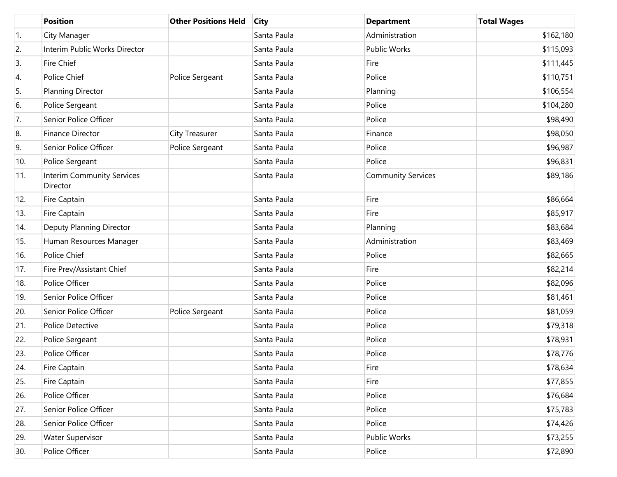|                  | <b>Position</b>                               | <b>Other Positions Held</b> | <b>City</b> | <b>Department</b>         | <b>Total Wages</b> |
|------------------|-----------------------------------------------|-----------------------------|-------------|---------------------------|--------------------|
| $\overline{1}$ . | City Manager                                  |                             | Santa Paula | Administration            | \$162,180          |
| 2.               | Interim Public Works Director                 |                             | Santa Paula | Public Works              | \$115,093          |
| 3.               | Fire Chief                                    |                             | Santa Paula | Fire                      | \$111,445          |
| 4.               | Police Chief                                  | Police Sergeant             | Santa Paula | Police                    | \$110,751          |
| 5.               | Planning Director                             |                             | Santa Paula | Planning                  | \$106,554          |
| 6.               | Police Sergeant                               |                             | Santa Paula | Police                    | \$104,280          |
| 7.               | Senior Police Officer                         |                             | Santa Paula | Police                    | \$98,490           |
| 8.               | <b>Finance Director</b>                       | City Treasurer              | Santa Paula | Finance                   | \$98,050           |
| 9.               | Senior Police Officer                         | Police Sergeant             | Santa Paula | Police                    | \$96,987           |
| 10.              | Police Sergeant                               |                             | Santa Paula | Police                    | \$96,831           |
| 11.              | <b>Interim Community Services</b><br>Director |                             | Santa Paula | <b>Community Services</b> | \$89,186           |
| 12.              | Fire Captain                                  |                             | Santa Paula | Fire                      | \$86,664           |
| 13.              | Fire Captain                                  |                             | Santa Paula | Fire                      | \$85,917           |
| 14.              | Deputy Planning Director                      |                             | Santa Paula | Planning                  | \$83,684           |
| 15.              | Human Resources Manager                       |                             | Santa Paula | Administration            | \$83,469           |
| 16.              | Police Chief                                  |                             | Santa Paula | Police                    | \$82,665           |
| 17.              | Fire Prev/Assistant Chief                     |                             | Santa Paula | Fire                      | \$82,214           |
| 18.              | Police Officer                                |                             | Santa Paula | Police                    | \$82,096           |
| 19.              | Senior Police Officer                         |                             | Santa Paula | Police                    | \$81,461           |
| 20.              | Senior Police Officer                         | Police Sergeant             | Santa Paula | Police                    | \$81,059           |
| 21.              | Police Detective                              |                             | Santa Paula | Police                    | \$79,318           |
| 22.              | Police Sergeant                               |                             | Santa Paula | Police                    | \$78,931           |
| 23.              | Police Officer                                |                             | Santa Paula | Police                    | \$78,776           |
| 24.              | Fire Captain                                  |                             | Santa Paula | Fire                      | \$78,634           |
| 25.              | Fire Captain                                  |                             | Santa Paula | Fire                      | \$77,855           |
| 26.              | Police Officer                                |                             | Santa Paula | Police                    | \$76,684           |
| 27.              | Senior Police Officer                         |                             | Santa Paula | Police                    | \$75,783           |
| 28.              | Senior Police Officer                         |                             | Santa Paula | Police                    | \$74,426           |
| 29.              | <b>Water Supervisor</b>                       |                             | Santa Paula | Public Works              | \$73,255           |
| 30.              | Police Officer                                |                             | Santa Paula | Police                    | \$72,890           |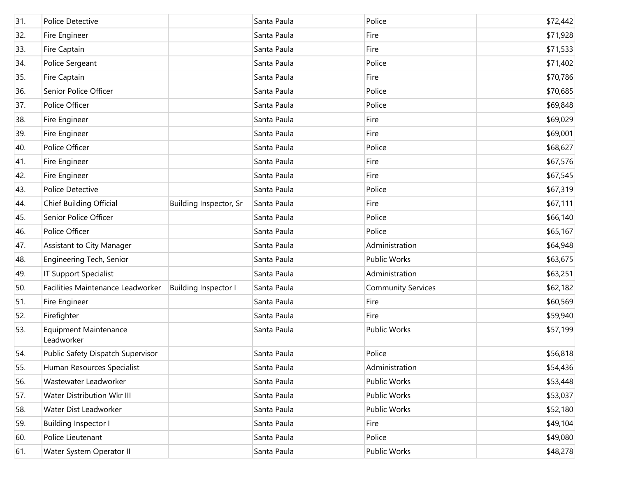| 31. | Police Detective                           |                             | Santa Paula | Police                    | \$72,442 |
|-----|--------------------------------------------|-----------------------------|-------------|---------------------------|----------|
| 32. | Fire Engineer                              |                             | Santa Paula | Fire                      | \$71,928 |
| 33. | Fire Captain                               |                             | Santa Paula | Fire                      | \$71,533 |
| 34. | Police Sergeant                            |                             | Santa Paula | Police                    | \$71,402 |
| 35. | Fire Captain                               |                             | Santa Paula | Fire                      | \$70,786 |
| 36. | Senior Police Officer                      |                             | Santa Paula | Police                    | \$70,685 |
| 37. | Police Officer                             |                             | Santa Paula | Police                    | \$69,848 |
| 38. | Fire Engineer                              |                             | Santa Paula | Fire                      | \$69,029 |
| 39. | Fire Engineer                              |                             | Santa Paula | Fire                      | \$69,001 |
| 40. | Police Officer                             |                             | Santa Paula | Police                    | \$68,627 |
| 41. | Fire Engineer                              |                             | Santa Paula | Fire                      | \$67,576 |
| 42. | Fire Engineer                              |                             | Santa Paula | Fire                      | \$67,545 |
| 43. | Police Detective                           |                             | Santa Paula | Police                    | \$67,319 |
| 44. | Chief Building Official                    | Building Inspector, Sr      | Santa Paula | Fire                      | \$67,111 |
| 45. | Senior Police Officer                      |                             | Santa Paula | Police                    | \$66,140 |
| 46. | Police Officer                             |                             | Santa Paula | Police                    | \$65,167 |
| 47. | Assistant to City Manager                  |                             | Santa Paula | Administration            | \$64,948 |
| 48. | Engineering Tech, Senior                   |                             | Santa Paula | Public Works              | \$63,675 |
| 49. | IT Support Specialist                      |                             | Santa Paula | Administration            | \$63,251 |
| 50. | Facilities Maintenance Leadworker          | <b>Building Inspector I</b> | Santa Paula | <b>Community Services</b> | \$62,182 |
| 51. | Fire Engineer                              |                             | Santa Paula | Fire                      | \$60,569 |
| 52. | Firefighter                                |                             | Santa Paula | Fire                      | \$59,940 |
| 53. | <b>Equipment Maintenance</b><br>Leadworker |                             | Santa Paula | Public Works              | \$57,199 |
| 54. | Public Safety Dispatch Supervisor          |                             | Santa Paula | Police                    | \$56,818 |
| 55. | Human Resources Specialist                 |                             | Santa Paula | Administration            | \$54,436 |
| 56. | Wastewater Leadworker                      |                             | Santa Paula | Public Works              | \$53,448 |
| 57. | Water Distribution Wkr III                 |                             | Santa Paula | Public Works              | \$53,037 |
| 58. | Water Dist Leadworker                      |                             | Santa Paula | Public Works              | \$52,180 |
| 59. | <b>Building Inspector I</b>                |                             | Santa Paula | Fire                      | \$49,104 |
| 60. | Police Lieutenant                          |                             | Santa Paula | Police                    | \$49,080 |
| 61. | Water System Operator II                   |                             | Santa Paula | Public Works              | \$48,278 |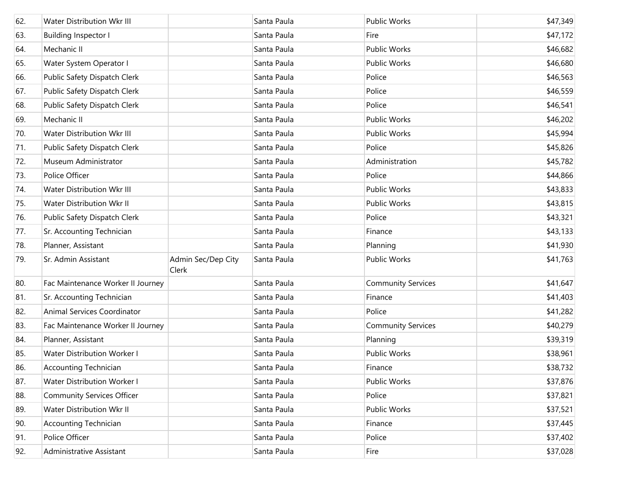| 62. | Water Distribution Wkr III        |                             | Santa Paula | Public Works              | \$47,349 |
|-----|-----------------------------------|-----------------------------|-------------|---------------------------|----------|
| 63. | <b>Building Inspector I</b>       |                             | Santa Paula | Fire                      | \$47,172 |
| 64. | Mechanic II                       |                             | Santa Paula | Public Works              | \$46,682 |
| 65. | Water System Operator I           |                             | Santa Paula | <b>Public Works</b>       | \$46,680 |
| 66. | Public Safety Dispatch Clerk      |                             | Santa Paula | Police                    | \$46,563 |
| 67. | Public Safety Dispatch Clerk      |                             | Santa Paula | Police                    | \$46,559 |
| 68. | Public Safety Dispatch Clerk      |                             | Santa Paula | Police                    | \$46,541 |
| 69. | Mechanic II                       |                             | Santa Paula | Public Works              | \$46,202 |
| 70. | Water Distribution Wkr III        |                             | Santa Paula | Public Works              | \$45,994 |
| 71. | Public Safety Dispatch Clerk      |                             | Santa Paula | Police                    | \$45,826 |
| 72. | Museum Administrator              |                             | Santa Paula | Administration            | \$45,782 |
| 73. | Police Officer                    |                             | Santa Paula | Police                    | \$44,866 |
| 74. | Water Distribution Wkr III        |                             | Santa Paula | Public Works              | \$43,833 |
| 75. | Water Distribution Wkr II         |                             | Santa Paula | Public Works              | \$43,815 |
| 76. | Public Safety Dispatch Clerk      |                             | Santa Paula | Police                    | \$43,321 |
| 77. | Sr. Accounting Technician         |                             | Santa Paula | Finance                   | \$43,133 |
| 78. | Planner, Assistant                |                             | Santa Paula | Planning                  | \$41,930 |
| 79. | Sr. Admin Assistant               | Admin Sec/Dep City<br>Clerk | Santa Paula | Public Works              | \$41,763 |
| 80. | Fac Maintenance Worker II Journey |                             | Santa Paula | <b>Community Services</b> | \$41,647 |
| 81. | Sr. Accounting Technician         |                             | Santa Paula | Finance                   | \$41,403 |
| 82. | Animal Services Coordinator       |                             | Santa Paula | Police                    | \$41,282 |
| 83. | Fac Maintenance Worker II Journey |                             | Santa Paula | <b>Community Services</b> | \$40,279 |
| 84. | Planner, Assistant                |                             | Santa Paula | Planning                  | \$39,319 |
| 85. | Water Distribution Worker I       |                             | Santa Paula | Public Works              | \$38,961 |
| 86. | <b>Accounting Technician</b>      |                             | Santa Paula | Finance                   | \$38,732 |
| 87. | Water Distribution Worker I       |                             | Santa Paula | Public Works              | \$37,876 |
| 88. | <b>Community Services Officer</b> |                             | Santa Paula | Police                    | \$37,821 |
| 89. | Water Distribution Wkr II         |                             | Santa Paula | Public Works              | \$37,521 |
| 90. | <b>Accounting Technician</b>      |                             | Santa Paula | Finance                   | \$37,445 |
| 91. | Police Officer                    |                             | Santa Paula | Police                    | \$37,402 |
| 92. | Administrative Assistant          |                             | Santa Paula | Fire                      | \$37,028 |